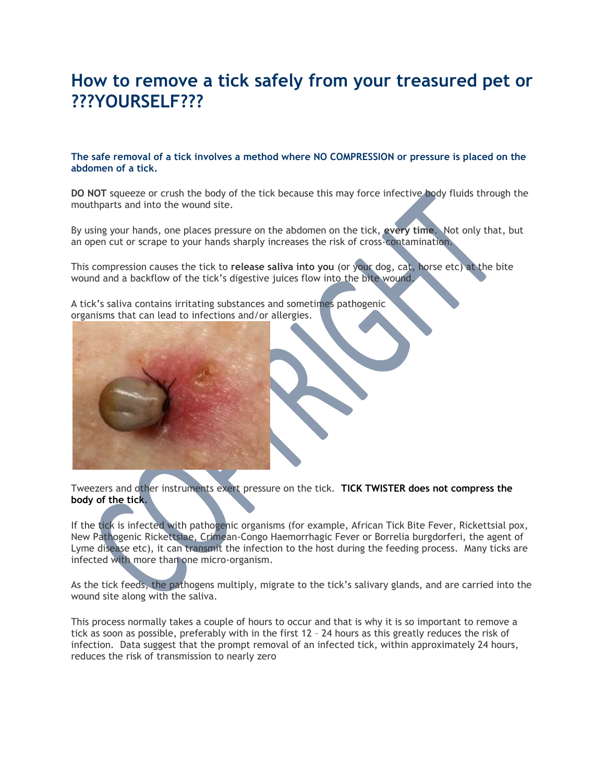## **How to remove a tick safely from your treasured pet or ???YOURSELF???**

## **The safe removal of a tick involves a method where NO COMPRESSION or pressure is placed on the abdomen of a tick.**

**DO NOT** squeeze or crush the body of the tick because this may force infective body fluids through the mouthparts and into the wound site.

By using your hands, one places pressure on the abdomen on the tick, **every time**. Not only that, but an open cut or scrape to your hands sharply increases the risk of cross-contamination.

This compression causes the tick to **release saliva into you** (or your dog, cat, horse etc) at the bite wound and a backflow of the tick's digestive juices flow into the bite wound.

A tick's saliva contains irritating substances and sometimes pathogenic organisms that can lead to infections and/or allergies.

Tweezers and other instruments exert pressure on the tick. **TICK TWISTER does not compress the body of the tick**.

If the tick is infected with pathogenic organisms (for example, African Tick Bite Fever, Rickettsial pox, New Pathogenic Rickettsiae, Crimean-Congo Haemorrhagic Fever or Borrelia burgdorferi, the agent of Lyme disease etc), it can transmit the infection to the host during the feeding process. Many ticks are infected with more than one micro-organism.

As the tick feeds, the pathogens multiply, migrate to the tick's salivary glands, and are carried into the wound site along with the saliva.

This process normally takes a couple of hours to occur and that is why it is so important to remove a tick as soon as possible, preferably with in the first 12 – 24 hours as this greatly reduces the risk of infection. Data suggest that the prompt removal of an infected tick, within approximately 24 hours, reduces the risk of transmission to nearly zero